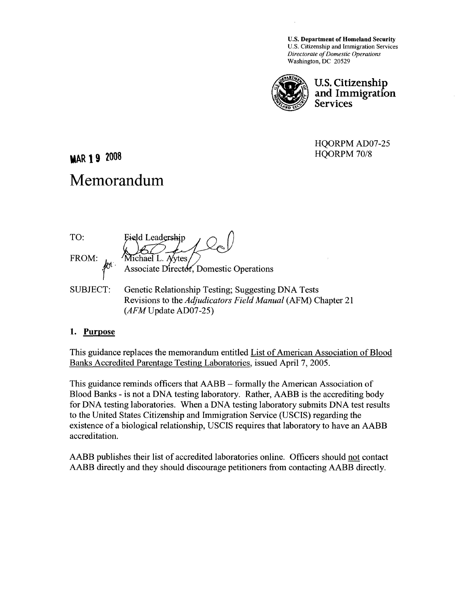U.S. Department of Homeland Security U.S. Citizenship and Immigration Services *Directorate of Domestic Operations*  Washington, DC 20529



**U.S. Citizenship** and Immigration **Services** 

HQORPM AD07-25 *HQORPM70/8* 

**MAR 19 2008** 

# **Memorandum**

TO: Eield Leadershin FROM: Michael L. Aytes Associate Director, Domestic Operations SUBJECT: Genetic Relationship Testing; Suggesting DNA Tests Revisions to the *Adjudicators Field Manual* (AFM) Chapter 21 *(AFMUpdate* AD07-25)

### **1. Purpose**

This guidance replaces the memorandum entitled List of American Association of Blood Banks Accredited Parentage Testing Laboratories, issued April 7, 2005.

This guidance reminds officers that AABB - formally the American Association of Blood Banks - is not a DNA testing laboratory. Rather, AABB is the accrediting body for DNA testing laboratories. When a DNA testing laboratory submits DNA test results to the United States Citizenship and Immigration Service (USCIS) regarding the existence of a biological relationship, USCIS requires that laboratory to have an AABB accreditation.

AABB publishes their list of accredited laboratories online. Officers should not contact AABB directly and they should discourage petitioners from contacting AABB directly.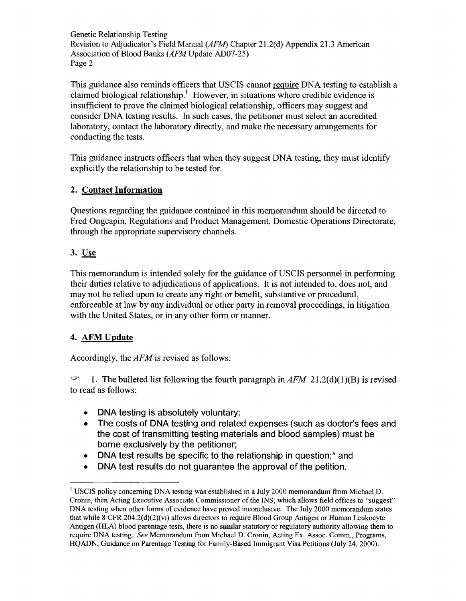Genetic Relationship Testing Revision to Adjudicator's Field Manual *(AFM)* Chapter 21.2(d) Appendix 21.3 American Association of Blood Banks *(AFMUpdate* AD07-25) Page 2

This guidance also reminds officers that USCIS cannot require DNA testing to establish a claimed biological relationship.<sup>1</sup> However, in situations where credible evidence is insufficient to prove the claimed biological relationship, officers may suggest and consider DNA testing results. In such cases, the petitioner must select an accredited laboratory, contact the laboratory directly, and make the necessary arrangements for conducting the tests.

This guidance instructs officers that when they suggest DNA testing, they must identify explicitly the relationship to be tested for.

## 2. Contact Information

Questions regarding the guidance contained in this memorandum should be directed to Fred Ongcapin, Regulations and Product Management, Domestic Operations Directorate, through the appropriate supervisory channels.

## 3. Use

This memorandum is intended solely for the guidance of USCIS personnel in performing their duties relative to adjudications of applications. It is not intended to, does not, and may not be relied upon to create any right or benefit, substantive or procedural, enforceable at law by any individual or other party in removal proceedings, in litigation with the United States, or in any other form or manner.

## 4. AFM Update

Accordingly, the *AFM* is revised as follows:

*G'* 1. The bulleted list following the fourth paragraph *inAFM* 21.2(d)(1)(B) is revised to read as follows:

- DNA testing is absolutely voluntary;
- The costs of DNA testing and related expenses (such as doctor's fees and the cost of transmitting testing materials and blood samples) must be borne exclusively by the petitioner;
- DNA test results be specific to the relationship in question;\* and
- DNA test results do not guarantee the approval of the petition.

<sup>&</sup>lt;sup>1</sup> USCIS policy concerning DNA testing was established in a July 2000 memorandum from Michael D. Cronin, then Acting Executive Associate Commissioner of the INS, which allows field offices to "suggest" DNA testing when other forms of evidence have proved inconclusive. The July 2000 memorandum states that while 8 CFR 204.2(d)(2)(vi) allows directors to require Blood Group Antigen or Human Leukocyte Antigen (HLA) blood parentage tests, there is no similar statutory or regulatory authority allowing them to require DNA testing. *See* Memorandum from Michael D. Cronin, Acting Ex. Assoc. Comm., Programs, HQADN, Guidance on Parentage Testing for Family-Based Immigrant Visa Petitions (July 24, 2000).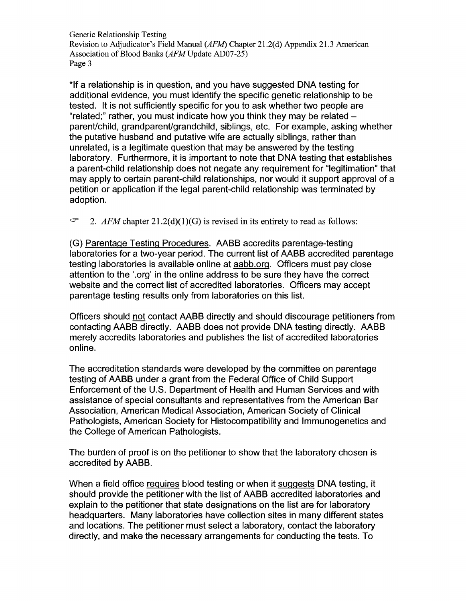Genetic Relationship Testing Revision to Adjudicator's Field Manual *(AFM)* Chapter 21.2(d) Appendix 21.3 American Association of Blood Banks (AFMUpdate AD07-25) Page 3

\*If a relationship is in question, and you have suggested DNA testing for additional evidence, you must identify the specific genetic relationship to be tested. It is not sufficiently specific for you to ask whether two people are "related;" rather, you must indicate how you think they may be relatedparent/child, grandparent/grandchild, siblings, etc. For example, asking whether the putative husband and putative wife are actually siblings, rather than unrelated, is a legitimate question that may be answered by the testing laboratory. Furthermore, it is important to note that DNA testing that establishes a parent-child relationship does not negate any requirement for "legitimation" that may apply to certain parent-child relationships, nor would it support approval of a petition or application if the legal parent-child relationship was terminated by adoption.

 $\subsetneq$ *2. AFM* chapter 21.2(d)(1)(G) is revised in its entirety to read as follows:

(G) Parentage Testing Procedures. AABB accredits parentage-testing laboratories for a two-year period. The current list of AABB accredited parentage testing laboratories is available online at aabb.org. Officers must pay close attention to the '.org' in the online address to be sure they have the correct website and the correct list of accredited laboratories. Officers may accept parentage testing results only from laboratories on this list.

Officers should not contact AABB directly and should discourage petitioners from contacting AABB directly. AABB does not provide DNA testing directly. AABB merely accredits laboratories and publishes the list of accredited laboratories online.

The accreditation standards were developed by the committee on parentage testing of AABB under a grant from the Federal Office of Child Support Enforcement of the U.S. Department of Health and Human Services and with assistance of special consultants and representatives from the American Bar Association, American Medical Association, American Society of Clinical Pathologists, American Society for Histocompatibility and Immunogenetics and the College of American Pathologists.

The burden of proof is on the petitioner to show that the laboratory chosen is accredited by AABB.

When a field office requires blood testing or when it suggests DNA testing, it should provide the petitioner with the list of AABB accredited laboratories and explain to the petitioner that state designations on the list are for laboratory headquarters. Many laboratories have collection sites in many different states and locations. The petitioner must select a laboratory, contact the laboratory directly, and make the necessary arrangements for conducting the tests. To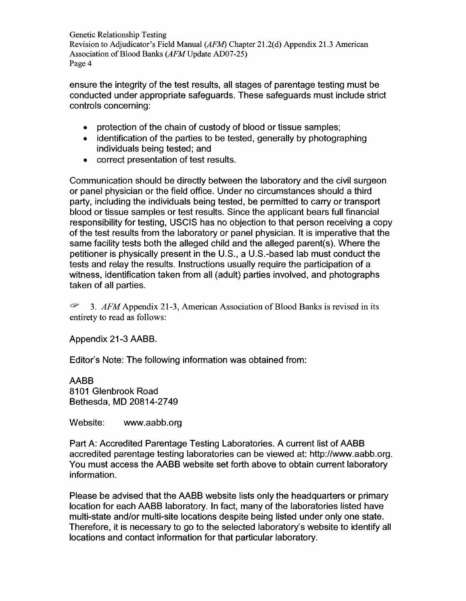Genetic Relationship Testing Revision to Adjudicator's Field Manual *(AFM)* Chapter 21.2(d) Appendix 21.3 American Association of Blood Banks (AFM Update AD07-25) Page 4

ensure the integrity of the test results, all stages of parentage testing must be conducted under appropriate safeguards. These safeguards must include strict controls concerning:

- protection of the chain of custody of blood or tissue samples;
- identification of the parties to be tested, generally by photographing individuals being tested; and
- correct presentation of test results.

Communication should be directly between the laboratory and the civil surgeon or panel physician or the field office. Under no circumstances should a third party, including the individuals being tested, be permitted to carry or transport blood or tissue samples or test results. Since the applicant bears full financial responsibility for testing, USCIS has no objection to that person receiving a copy of the test results from the laboratory or panel physician. It is imperative that the same facility tests both the alleged child and the alleged parent(s). Where the petitioner is physically present in the U.S., a U.S.-based lab must conduct the tests and relay the results. Instructions usually require the participation of a witness, identification taken from all (adult) parties involved, and photographs taken of all parties.

C? 3. *AFM* Appendix 21-3, American Association of Blood Banks is revised in its entirety to read as follows:

Appendix 21-3 AABB.

Editor's Note: The following information was obtained from:

AABB 8101 Glenbrook Road Bethesda, MD 20814-2749

Website: www.aabb.org

Part A: Accredited Parentage Testing Laboratories. A current list of AABB accredited parentage testing laboratories can be viewed at: http://www.aabb.org. You must access the AABB website set forth above to obtain current laboratory information.

Please be advised that the AABB website lists only the headquarters or primary location for each AABB laboratory. In fact, many of the laboratories listed have multi-state and/or multi-site locations despite being listed under only one state. Therefore, it is necessary to go to the selected laboratory's website to identify all locations and contact information for that particular laboratory.